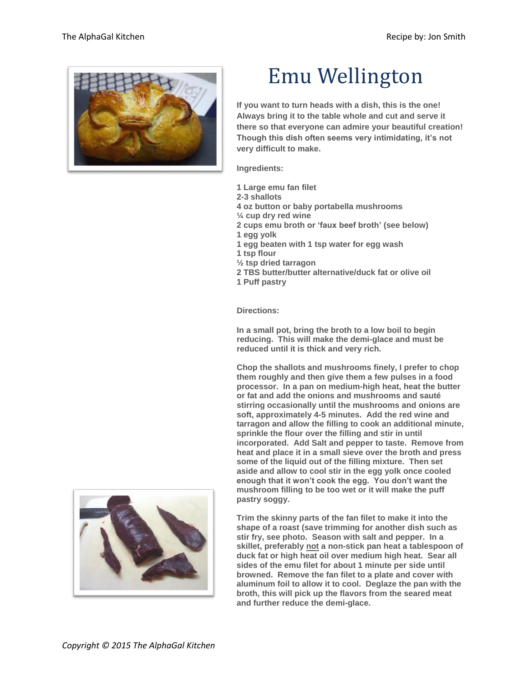

## Emu Wellington

**If you want to turn heads with a dish, this is the one! Always bring it to the table whole and cut and serve it there so that everyone can admire your beautiful creation! Though this dish often seems very intimidating, it's not very difficult to make.**

**Ingredients:**

- **1 Large emu fan filet**
- **2-3 shallots**

**4 oz button or baby portabella mushrooms**

- **¼ cup dry red wine**
- **2 cups emu broth or 'faux beef broth' (see below)**
- **1 egg yolk**
- **1 egg beaten with 1 tsp water for egg wash**
- **1 tsp flour**
- **½ tsp dried tarragon**
- **2 TBS butter/butter alternative/duck fat or olive oil**
- **1 Puff pastry**

**Directions:**

**In a small pot, bring the broth to a low boil to begin reducing. This will make the demi-glace and must be reduced until it is thick and very rich.**

**Chop the shallots and mushrooms finely, I prefer to chop them roughly and then give them a few pulses in a food processor. In a pan on medium-high heat, heat the butter or fat and add the onions and mushrooms and sauté stirring occasionally until the mushrooms and onions are soft, approximately 4-5 minutes. Add the red wine and tarragon and allow the filling to cook an additional minute, sprinkle the flour over the filling and stir in until incorporated. Add Salt and pepper to taste. Remove from heat and place it in a small sieve over the broth and press some of the liquid out of the filling mixture. Then set aside and allow to cool stir in the egg yolk once cooled enough that it won't cook the egg. You don't want the mushroom filling to be too wet or it will make the puff pastry soggy.**

**Trim the skinny parts of the fan filet to make it into the shape of a roast (save trimming for another dish such as stir fry, see photo. Season with salt and pepper. In a skillet, preferably not a non-stick pan heat a tablespoon of duck fat or high heat oil over medium high heat. Sear all sides of the emu filet for about 1 minute per side until browned. Remove the fan filet to a plate and cover with aluminum foil to allow it to cool. Deglaze the pan with the broth, this will pick up the flavors from the seared meat and further reduce the demi-glace.**